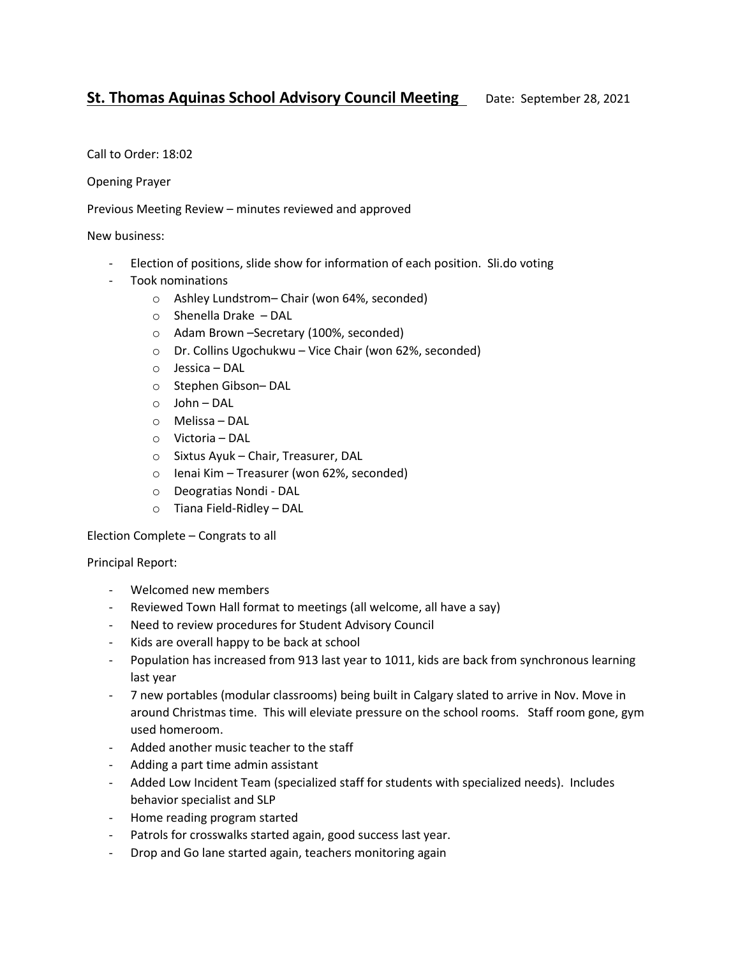## **St. Thomas Aquinas School Advisory Council Meeting** Date: September 28, 2021

Call to Order: 18:02

Opening Prayer

Previous Meeting Review – minutes reviewed and approved

New business:

- Election of positions, slide show for information of each position. Sli.do voting
- Took nominations
	- o Ashley Lundstrom– Chair (won 64%, seconded)
	- o Shenella Drake DAL
	- o Adam Brown –Secretary (100%, seconded)
	- o Dr. Collins Ugochukwu Vice Chair (won 62%, seconded)
	- o Jessica DAL
	- o Stephen Gibson– DAL
	- o John DAL
	- o Melissa DAL
	- o Victoria DAL
	- o Sixtus Ayuk Chair, Treasurer, DAL
	- o Ienai Kim Treasurer (won 62%, seconded)
	- o Deogratias Nondi DAL
	- o Tiana Field-Ridley DAL

Election Complete – Congrats to all

Principal Report:

- Welcomed new members
- Reviewed Town Hall format to meetings (all welcome, all have a say)
- Need to review procedures for Student Advisory Council
- Kids are overall happy to be back at school
- Population has increased from 913 last year to 1011, kids are back from synchronous learning last year
- 7 new portables (modular classrooms) being built in Calgary slated to arrive in Nov. Move in around Christmas time. This will eleviate pressure on the school rooms. Staff room gone, gym used homeroom.
- Added another music teacher to the staff
- Adding a part time admin assistant
- Added Low Incident Team (specialized staff for students with specialized needs). Includes behavior specialist and SLP
- Home reading program started
- Patrols for crosswalks started again, good success last year.
- Drop and Go lane started again, teachers monitoring again